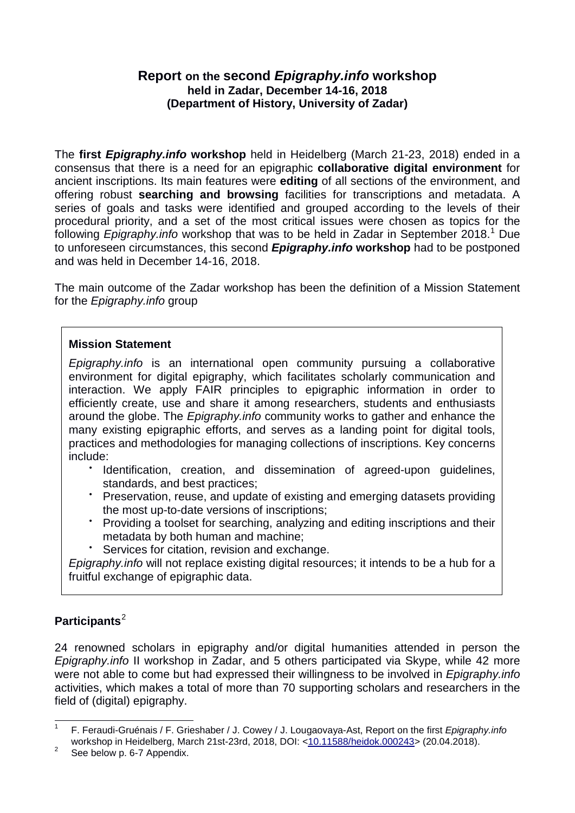# **Report on the second** *Epigraphy.info* **workshop held in Zadar, December 14-16, 2018 (Department of History, University of Zadar)**

The **first** *Epigraphy.info* **workshop** held in Heidelberg (March 21-23, 2018) ended in a consensus that there is a need for an epigraphic **collaborative digital environment** for ancient inscriptions. Its main features were **editing** of all sections of the environment, and offering robust **searching and browsing** facilities for transcriptions and metadata. A series of goals and tasks were identified and grouped according to the levels of their procedural priority, and a set of the most critical issues were chosen as topics for the following *Epigraphy.info* workshop that was to be held in Zadar in September 20[1](#page-0-0)8.<sup>1</sup> Due to unforeseen circumstances, this second *Epigraphy.info* **workshop** had to be postponed and was held in December 14-16, 2018.

The main outcome of the Zadar workshop has been the definition of a Mission Statement for the *Epigraphy.info* group

### **Mission Statement**

*Epigraphy.info* is an international open community pursuing a collaborative environment for digital epigraphy, which facilitates scholarly communication and interaction. We apply [F](https://www.go-fair.org/fair-principles/)AIR principles to epigraphic information in order to efficiently create, use and share it among researchers, students and enthusiasts around the globe. The *Epigraphy.info* community works to gather and enhance the many existing epigraphic efforts, and serves as a landing point for digital tools, practices and methodologies for managing collections of inscriptions. Key concerns include:

- Identification, creation, and dissemination of agreed-upon guidelines, standards, and best practices;
- Preservation, reuse, and update of existing and emerging datasets providing the most up-to-date versions of inscriptions;
- Providing a toolset for searching, analyzing and editing inscriptions and their metadata by both human and machine;
- Services for citation, revision and exchange.

*Epigraphy.info* will not replace existing digital resources; it intends to be a hub for a fruitful exchange of epigraphic data.

## **Participants**[2](#page-0-1)

24 renowned scholars in epigraphy and/or digital humanities attended in person the *Epigraphy.info* II workshop in Zadar, and 5 others participated via Skype, while 42 more were not able to come but had expressed their willingness to be involved in *Epigraphy.info* activities, which makes a total of more than 70 supporting scholars and researchers in the field of (digital) epigraphy.

<span id="page-0-0"></span> <sup>1</sup> F. Feraudi-Gruénais / F. Grieshaber / J. Cowey / J. Lougaovaya-Ast, Report on the first *Epigraphy.info* workshop in Heidelberg, March 21st-23rd, 2018, DOI: [<10.11588/heidok.000243>](http://doi.org/10.11588/heidok.00024397#_blank) (20.04.2018).<br><sup>2</sup> See below p. 6-7 Appendix.

<span id="page-0-1"></span>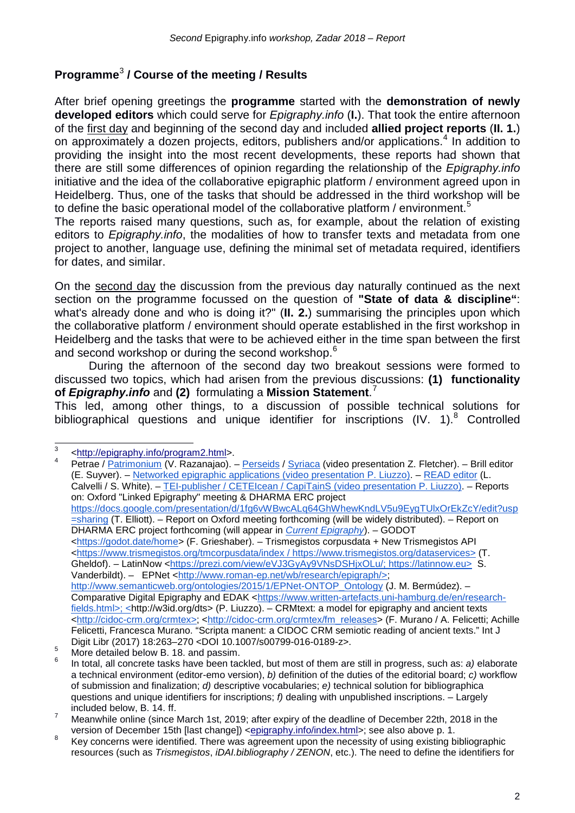# **Programme**[3](#page-1-0) **/ Course of the meeting / Results**

After brief opening greetings the **programme** started with the **demonstration of newly developed editors** which could serve for *Epigraphy.info* (**I.**). That took the entire afternoon of the first day and beginning of the second day and included **allied project reports** (**II. 1.**) on approximately a dozen projects, editors, publishers and/or applications.<sup>[4](#page-1-1)</sup> In addition to providing the insight into the most recent developments, these reports had shown that there are still some differences of opinion regarding the relationship of the *Epigraphy.info* initiative and the idea of the collaborative epigraphic platform / environment agreed upon in Heidelberg. Thus, one of the tasks that should be addressed in the third workshop will be to define the basic operational model of the collaborative platform / environment.<sup>[5](#page-1-2)</sup>

The reports raised many questions, such as, for example, about the relation of existing editors to *Epigraphy.info*, the modalities of how to transfer texts and metadata from one project to another, language use, defining the minimal set of metadata required, identifiers for dates, and similar.

On the second day the discussion from the previous day naturally continued as the next section on the programme focussed on the question of **"State of data & discipline"**: what's already done and who is doing it?" (**II. 2.**) summarising the principles upon which the collaborative platform / environment should operate established in the first workshop in Heidelberg and the tasks that were to be achieved either in the time span between the first and second workshop or during the second workshop.[6](#page-1-3)

During the afternoon of the second day two breakout sessions were formed to discussed two topics, which had arisen from the previous discussions: **(1) functionality of** *Epigraphy.info* and **(2)** formulating a **Mission Statement**. [7](#page-1-4)

This led, among other things, to a discussion of possible technical solutions for bibliographical questions and unique identifier for inscriptions  $(IV. 1).<sup>8</sup>$  $(IV. 1).<sup>8</sup>$  $(IV. 1).<sup>8</sup>$  Controlled

<span id="page-1-0"></span> $\frac{3}{4}$  [<http://epigraphy.info/program2.html>](http://epigraphy.info/program2.html).

<span id="page-1-1"></span>Petrae / [Patrimonium](https://patrimonium.huma-num.fr/) (V. Razanajao). – [Perseids](http://perseids.org/) / [Syriaca](http://syriaca.org/) (video presentation Z. Fletcher). – Brill editor (E. Suyver). – [Networked epigraphic applications \(video presentation P. Liuzzo\).](https://drive.google.com/drive/folders/1JKmypDgx0TsLws-UfKPrrM3c9fWAzFa-?usp=sharing) – [READ editor](https://github.com/readsoftware/read) (L. Calvelli / S. White). – [TEI-publisher / CETEIcean / CapiTainS \(video presentation P. Liuzzo\).](https://drive.google.com/file/d/1JXPD-y_2G6E8Grs1bPvsVV_GdmvAaVi_/view?usp=sharing) – Reports on: Oxford "Linked Epigraphy" meeting & DHARMA ERC project [https://docs.google.com/presentation/d/1fg6vWBwcALq64GhWhewKndLV5u9EygTUlxOrEkZcY/edit?usp](https://docs.google.com/presentation/d/1-Efg6vWBwcALq64GhWhewKndLV5u9EygTUlxOrEkZcY/edit?usp=sharing) [=sharing](https://docs.google.com/presentation/d/1-Efg6vWBwcALq64GhWhewKndLV5u9EygTUlxOrEkZcY/edit?usp=sharing) (T. Elliott). – Report on Oxford meeting forthcoming (will be widely distributed). – Report on DHARMA ERC project forthcoming (will appear in *[Current Epigraphy](https://currentepigraphy.org/)*). – GODOT [<https://godot.date/home>](https://godot.date/home) (F. Grieshaber). – Trismegistos corpusdata + New Trismegistos API [<https://www.trismegistos.org/tmcorpusdata/index](https://www.trismegistos.org/tmcorpusdata/index) / [https://www.trismegistos.org/dataservices>](https://www.trismegistos.org/dataservices) (T. Gheldof). – LatinNow [<https://prezi.com/view/eVJ3GyAy9VNsDSHjxOLu/;](https://prezi.com/view/eVJ3GyAy9VNsDSHjxOLu/) [https://latinnow.eu>](https://latinnow.eu/) S. [Vanderbildt\).](https://latinnow.eu/) – EPNet [<http://www.roman-ep.net/wb/research/epigraph/>](http://www.roman-ep.net/wb/research/epigraph/); [http://www.semanticweb.org/ontologies/2015/1/EPNet-ONTOP\\_Ontology](http://www.semanticweb.org/ontologies/2015/1/EPNet-ONTOP_Ontology) (J. M. Bermúdez). – Comparative Digital Epigraphy and EDAK [<https://www.written-artefacts.uni-hamburg.de/en/research](https://www.written-artefacts.uni-hamburg.de/en/research-fields.html)[fields.html>](https://www.written-artefacts.uni-hamburg.de/en/research-fields.html); <http://w3id.org/dts> (P. Liuzzo). – CRMtext: a model for epigraphy and ancient texts [<http://cidoc-crm.org/crmtex>](http://cidoc-crm.org/crmtex/); [<http://cidoc-crm.org/crmtex/fm\\_releases>](http://cidoc-crm.org/crmtex/fm_releases) (F. Murano / A. Felicetti; Achille Felicetti, Francesca Murano. "Scripta manent: a CIDOC CRM semiotic reading of ancient texts." Int J Digit Libr (2017) 18:263–270 <DOI 10.1007/s00799-016-0189-z>.

<span id="page-1-3"></span><span id="page-1-2"></span><sup>5</sup> More detailed below B. 18. and passim. <sup>6</sup> In total, all concrete tasks have been tackled, but most of them are still in progress, such as: *a)* elaborate a technical environment (editor-emo version), *b)* definition of the duties of the editorial board; *c)* workflow of submission and finalization; *d)* descriptive vocabularies; *e)* technical solution for bibliographica questions and unique identifiers for inscriptions; *f)* dealing with unpublished inscriptions. – Largely

included below, B. 14. ff.<br><sup>7</sup> Meanwhile online (since March 1st, 2019; after expiry of the deadline of December 22th, 2018 in the

<span id="page-1-5"></span><span id="page-1-4"></span>version of December 15th [last change]) [<epigraphy.info/index.html>](http://epigraphy.info/index.html); see also above p. 1.<br><sup>8</sup> Key concerns were identified. There was agreement upon the necessity of using existing bibliographic resources (such as *Trismegistos*, *iDAI.bibliography / ZENON*, etc.). The need to define the identifiers for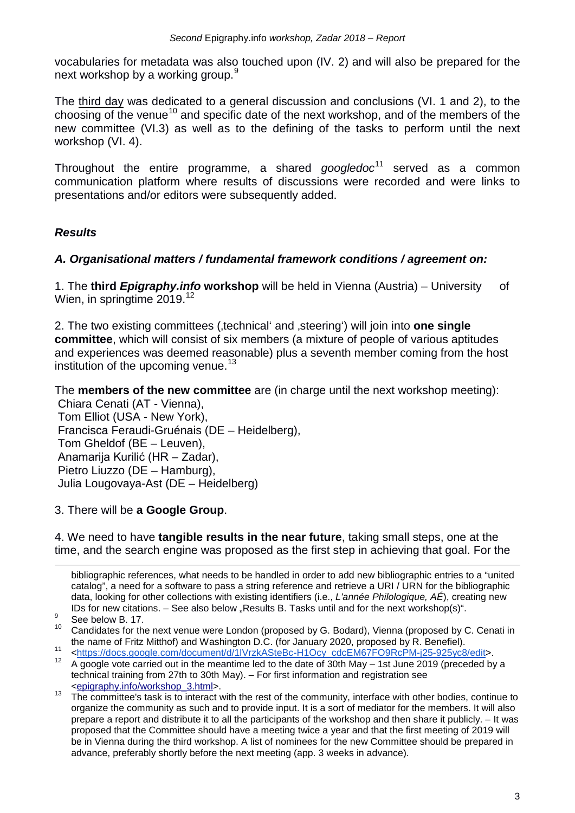vocabularies for metadata was also touched upon (IV. 2) and will also be prepared for the next workshop by a working group.<sup>[9](#page-2-0)</sup>

The third day was dedicated to a general discussion and conclusions (VI. 1 and 2), to the choosing of the venue<sup>[10](#page-2-1)</sup> and specific date of the next workshop, and of the members of the new committee (VI.3) as well as to the defining of the tasks to perform until the next workshop (VI. 4).

Throughout the entire programme, a shared *googledoc*[11](#page-2-2) served as a common communication platform where results of discussions were recorded and were links to presentations and/or editors were subsequently added.

# *Results*

## *A. Organisational matters / fundamental framework conditions / agreement on:*

1. The **third** *Epigraphy.info* **workshop** will be held in Vienna (Austria) – University of Wien, in springtime 2019.<sup>[12](#page-2-3)</sup>

2. The two existing committees ('technical' and 'steering') will join into **one single committee**, which will consist of six members (a mixture of people of various aptitudes and experiences was deemed reasonable) plus a seventh member coming from the host institution of the upcoming venue.<sup>[13](#page-2-4)</sup>

The **members of the new committee** are (in charge until the next workshop meeting):

Chiara Cenati (AT - Vienna), Tom Elliot (USA - New York), Francisca Feraudi-Gruénais (DE – Heidelberg), Tom Gheldof (BE – Leuven), Anamarija Kurilić (HR – Zadar), Pietro Liuzzo (DE – Hamburg), Julia Lougovaya-Ast (DE – Heidelberg)

3. There will be **a Google Group**.

4. We need to have **tangible results in the near future**, taking small steps, one at the time, and the search engine was proposed as the first step in achieving that goal. For the

bibliographic references, what needs to be handled in order to add new bibliographic entries to a "united catalog", a need for a software to pass a string reference and retrieve a URI / URN for the bibliographic data, looking for other collections with existing identifiers (i.e., *L'année Philologique, AÉ*), creating new IDs for new citations. – See also below "Results B. Tasks until and for the next workshop(s)".<br>See below B. 17.<br> $^{10}$  Condidates for the next years were Leader (prepared by C. Bedard). Vienne (prepared by C.

-

<span id="page-2-1"></span><span id="page-2-0"></span>Candidates for the next venue were London (proposed by G. Bodard), Vienna (proposed by C. Cenati in the name of Fritz Mitthof) and Washington D.C. (for January 2020, proposed by R. Benefiel).

[<sup>&</sup>lt;https://docs.google.com/document/d/1lVrzkASteBc-H1Ocy\\_cdcEM67FO9RcPM-j25-925yc8/edit>](https://docs.google.com/document/d/1lVrzkASteBc-H1Ocy_cdcEM67FO9RcPM-j25-925yc8/edit).

<span id="page-2-3"></span><span id="page-2-2"></span><sup>12</sup> A google vote carried out in the meantime led to the date of 30th May – 1st June 2019 (preceded by a technical training from 27th to 30th May). – For first information and registration see [<epigraphy.info/workshop\\_3.html>](http://epigraphy.info/workshop_3.html).

<span id="page-2-4"></span><sup>&</sup>lt;sup>13</sup> The committee's task is to interact with the rest of the community, interface with other bodies, continue to organize the community as such and to provide input. It is a sort of mediator for the members. It will also prepare a report and distribute it to all the participants of the workshop and then share it publicly. – It was proposed that the Committee should have a meeting twice a year and that the first meeting of 2019 will be in Vienna during the third workshop. A list of nominees for the new Committee should be prepared in advance, preferably shortly before the next meeting (app. 3 weeks in advance).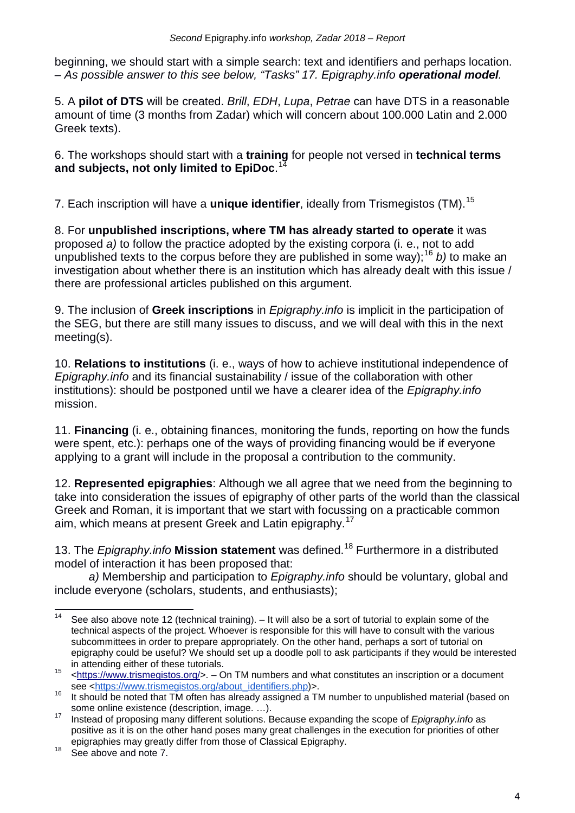beginning, we should start with a simple search: text and identifiers and perhaps location. *– As possible answer to this see below, "Tasks" 17. Epigraphy.info operational model.*

5. A **pilot of DTS** will be created. *Brill*, *EDH*, *Lupa*, *Petrae* can have DTS in a reasonable amount of time (3 months from Zadar) which will concern about 100.000 Latin and 2.000 Greek texts).

6. The workshops should start with a **training** for people not versed in **technical terms and subjects, not only limited to EpiDoc**. [14](#page-3-0)

7. Each inscription will have a **unique identifier**, ideally from Trismegistos (TM).[15](#page-3-1)

8. For **unpublished inscriptions, where TM has already started to operate** it was proposed *a)* to follow the practice adopted by the existing corpora (i. e., not to add unpublished texts to the corpus before they are published in some way);<sup>[16](#page-3-2)</sup> *b*) to make an investigation about whether there is an institution which has already dealt with this issue / there are professional articles published on this argument.

9. The inclusion of **Greek inscriptions** in *Epigraphy.info* is implicit in the participation of the SEG, but there are still many issues to discuss, and we will deal with this in the next meeting(s).

10. **Relations to institutions** (i. e., ways of how to achieve institutional independence of *Epigraphy.info* and its financial sustainability / issue of the collaboration with other institutions): should be postponed until we have a clearer idea of the *Epigraphy.info* mission.

11. **Financing** (i. e., obtaining finances, monitoring the funds, reporting on how the funds were spent, etc.): perhaps one of the ways of providing financing would be if everyone applying to a grant will include in the proposal a contribution to the community.

12. **Represented epigraphies**: Although we all agree that we need from the beginning to take into consideration the issues of epigraphy of other parts of the world than the classical Greek and Roman, it is important that we start with focussing on a practicable common aim, which means at present Greek and Latin epigraphy.<sup>[17](#page-3-3)</sup>

13. The *Epigraphy.info* **Mission statement** was defined.[18](#page-3-4) Furthermore in a distributed model of interaction it has been proposed that:

*a)* Membership and participation to *Epigraphy.info* should be voluntary, global and include everyone (scholars, students, and enthusiasts);

<span id="page-3-0"></span><sup>&</sup>lt;sup>14</sup> See also above note 12 (technical training).  $-$  It will also be a sort of tutorial to explain some of the technical aspects of the project. Whoever is responsible for this will have to consult with the various subcommittees in order to prepare appropriately. On the other hand, perhaps a sort of tutorial on epigraphy could be useful? We should set up a doodle poll to ask participants if they would be interested

<span id="page-3-1"></span>in attending either of these tutorials.<br>  $\left\langle \frac{\text{https://www.trismegistos.org/>}}{\text{https://www.trismegistos.org/about identifiers.php}>}} \right\rangle$ .<br>
see  $\leftarrow$ https://www.trismegistos.org/about identifiers.php)>.

<span id="page-3-2"></span><sup>16</sup> It should be noted that TM often has already assigned a TM number to unpublished material (based on some online existence (description, image. ...).<br><sup>17</sup> Instead of proposing many different solutions. Because expanding the scope of *Epigraphy.info* as

<span id="page-3-3"></span>positive as it is on the other hand poses many great challenges in the execution for priorities of other epigraphies may greatly differ from those of Classical Epigraphy.<br><sup>18</sup> See above and note 7.

<span id="page-3-4"></span>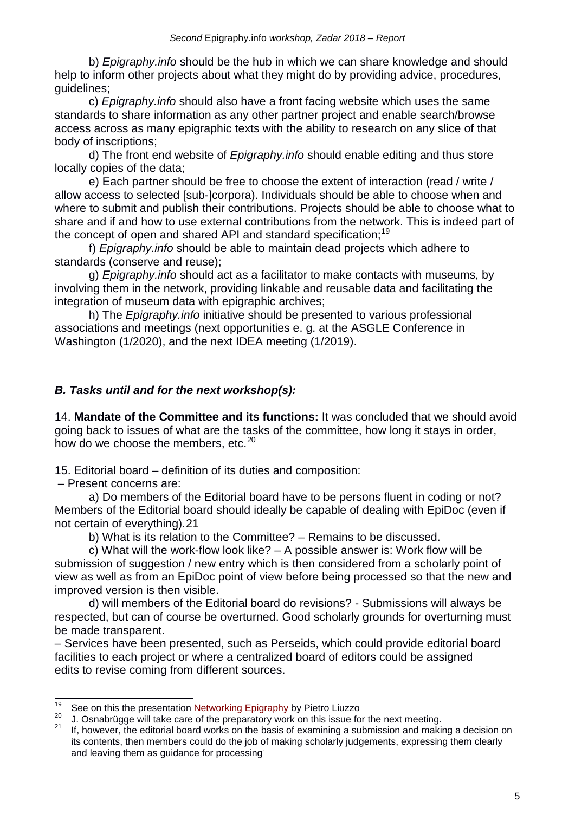b) *Epigraphy.info* should be the hub in which we can share knowledge and should help to inform other projects about what they might do by providing advice, procedures, guidelines;

c) *Epigraphy.info* should also have a front facing website which uses the same standards to share information as any other partner project and enable search/browse access across as many epigraphic texts with the ability to research on any slice of that body of inscriptions;

d) The front end website of *Epigraphy.info* should enable editing and thus store locally copies of the data;

e) Each partner should be free to choose the extent of interaction (read / write / allow access to selected [sub-]corpora). Individuals should be able to choose when and where to submit and publish their contributions. Projects should be able to choose what to share and if and how to use external contributions from the network. This is indeed part of the concept of open and shared API and standard specification;<sup>[19](#page-4-0)</sup>

f) *Epigraphy.info* should be able to maintain dead projects which adhere to standards (conserve and reuse);

g) *Epigraphy.info* should act as a facilitator to make contacts with museums, by involving them in the network, providing linkable and reusable data and facilitating the integration of museum data with epigraphic archives;

h) The *Epigraphy.info* initiative should be presented to various professional associations and meetings (next opportunities e. g. at the ASGLE Conference in Washington (1/2020), and the next IDEA meeting (1/2019).

# *B. Tasks until and for the next workshop(s):*

14. **Mandate of the Committee and its functions:** It was concluded that we should avoid going back to issues of what are the tasks of the committee, how long it stays in order, how do we choose the members, etc.<sup>[20](#page-4-1)</sup>

15. Editorial board – definition of its duties and composition:

– Present concerns are:

a) Do members of the Editorial board have to be persons fluent in coding or not? Members of the Editorial board should ideally be capable of dealing with EpiDoc (even if not certain of everything).[21](#page-4-2)

b) What is its relation to the Committee? – Remains to be discussed.

c) What will the work-flow look like? – A possible answer is: Work flow will be submission of suggestion / new entry which is then considered from a scholarly point of view as well as from an EpiDoc point of view before being processed so that the new and improved version is then visible.

d) will members of the Editorial board do revisions? - Submissions will always be respected, but can of course be overturned. Good scholarly grounds for overturning must be made transparent.

– Services have been presented, such as Perseids, which could provide editorial board facilities to each project or where a centralized board of editors could be assigned edits to revise coming from different sources.

<span id="page-4-1"></span><span id="page-4-0"></span><sup>&</sup>lt;sup>19</sup> See on this the presentation *Networking Epigraphy* by Pietro Liuzzo<br><sup>20</sup> J. Osnabrügge will take care of the preparatory work on this issue for the next meeting.<br><sup>21</sup> If, however, the editorial board works on the ba

<span id="page-4-2"></span>its contents, then members could do the job of making scholarly judgements, expressing them clearly and leaving them as guidance for processing.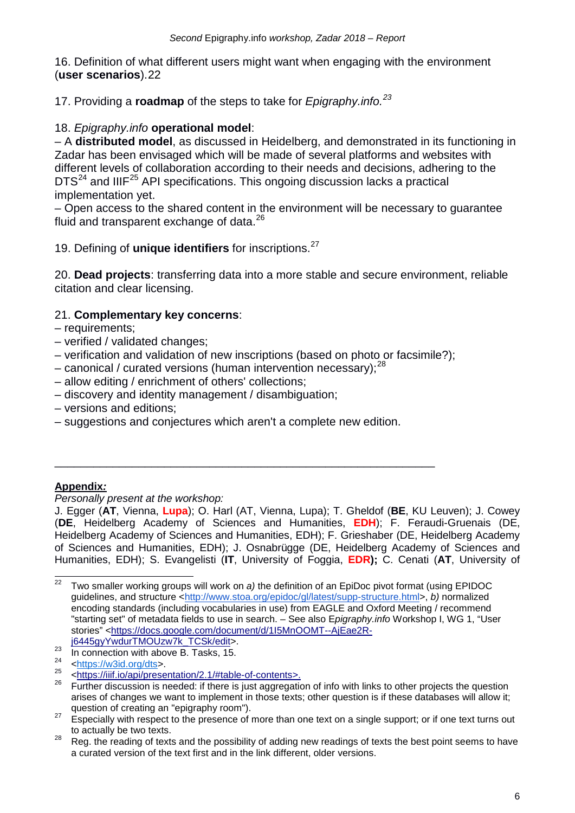16. Definition of what different users might want when engaging with the environment (**user scenarios**).[22](#page-5-0)

17. Providing a **roadmap** of the steps to take for *Epigraphy.info.[23](#page-5-1)*

## 18. *Epigraphy.info* **operational model**:

– A **distributed model**, as discussed in Heidelberg, and demonstrated in its functioning in Zadar has been envisaged which will be made of several platforms and websites with different levels of collaboration according to their needs and decisions, adhering to the  $DTS<sup>24</sup>$  $DTS<sup>24</sup>$  $DTS<sup>24</sup>$  and IIIF<sup>[25](#page-5-3)</sup> API specifications. This ongoing discussion lacks a practical implementation yet.

– Open access to the shared content in the environment will be necessary to guarantee fluid and transparent exchange of data.<sup>[26](#page-5-4)</sup>

19. Defining of **unique identifiers** for inscriptions.[27](#page-5-5)

20. **Dead projects**: transferring data into a more stable and secure environment, reliable citation and clear licensing.

### 21. **Complementary key concerns**:

- requirements;
- verified / validated changes;
- verification and validation of new inscriptions (based on photo or facsimile?);
- canonical / curated versions (human intervention necessary); $^{28}$  $^{28}$  $^{28}$
- allow editing / enrichment of others' collections;
- discovery and identity management / disambiguation;
- versions and editions;
- suggestions and conjectures which aren't a complete new edition.

\_\_\_\_\_\_\_\_\_\_\_\_\_\_\_\_\_\_\_\_\_\_\_\_\_\_\_\_\_\_\_\_\_\_\_\_\_\_\_\_\_\_\_\_\_\_\_\_\_\_\_\_\_\_\_\_\_\_\_

### **Appendix***:*

*Personally present at the workshop:*

J. Egger (**AT**, Vienna, **Lupa**); O. Harl (AT, Vienna, Lupa); T. Gheldof (**BE**, KU Leuven); J. Cowey (**DE**, Heidelberg Academy of Sciences and Humanities, **EDH**); F. Feraudi-Gruenais (DE, Heidelberg Academy of Sciences and Humanities, EDH); F. Grieshaber (DE, Heidelberg Academy of Sciences and Humanities, EDH); J. Osnabrügge (DE, Heidelberg Academy of Sciences and Humanities, EDH); S. Evangelisti (**IT**, University of Foggia, **EDR);** C. Cenati (**AT**, University of

<span id="page-5-0"></span> <sup>22</sup> Two smaller working groups will work on *a)* the definition of an EpiDoc pivot format (using EPIDOC guidelines, and structure [<http://www.stoa.org/epidoc/gl/latest/supp-structure.html>](http://www.stoa.org/epidoc/gl/latest/supp-structure.html), *b)* normalized encoding standards (including vocabularies in use) from EAGLE and Oxford Meeting / recommend "starting set" of metadata fields to use in search. – See also E*pigraphy.info* Workshop I, WG 1, "User stories" [<https://docs.google.com/document/d/1I5MnOOMT--AjEae2R](https://docs.google.com/document/d/1I5MnOOMT--AjEae2R-j6445gyYwdurTMOUzw7k_TCSk/edit)[j6445gyYwdurTMOUzw7k\\_TCSk/edit>](https://docs.google.com/document/d/1I5MnOOMT--AjEae2R-j6445gyYwdurTMOUzw7k_TCSk/edit).

<span id="page-5-1"></span><sup>23</sup> In connection with above B. Tasks, 15.

<sup>24</sup>

<span id="page-5-2"></span> $n^{24}$  [<https://w3id.org/dts>](https://w3id.org/dts).<br><sup>25</sup> [<https://iiif.io/api/presentation/2.1/#table-of-contents>](https://iiif.io/api/presentation/2.1/#table-of-contents).

<span id="page-5-4"></span><span id="page-5-3"></span><sup>&</sup>lt;sup>26</sup> Further discussion is needed: if there is just aggregation of info with links to other projects the question arises of changes we want to implement in those texts; other question is if these databases will allow it;

<span id="page-5-5"></span>question of creating an "epigraphy room").<br><sup>27</sup> Especially with respect to the presence of more than one text on a single support; or if one text turns out

<span id="page-5-6"></span>to actually be two texts.<br><sup>28</sup> Reg. the reading of texts and the possibility of adding new readings of texts the best point seems to have a curated version of the text first and in the link different, older versions.